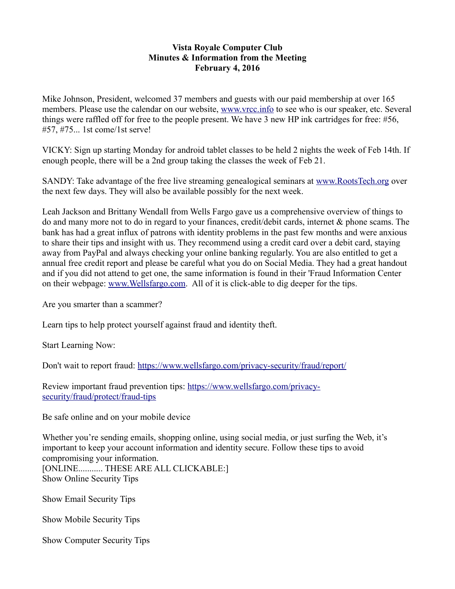## **Vista Royale Computer Club Minutes & Information from the Meeting February 4, 2016**

Mike Johnson, President, welcomed 37 members and guests with our paid membership at over 165 members. Please use the calendar on our website, [www.vrcc.info](http://www.vrcc.info/) to see who is our speaker, etc. Several things were raffled off for free to the people present. We have 3 new HP ink cartridges for free: #56, #57, #75... 1st come/1st serve!

VICKY: Sign up starting Monday for android tablet classes to be held 2 nights the week of Feb 14th. If enough people, there will be a 2nd group taking the classes the week of Feb 21.

SANDY: Take advantage of the free live streaming genealogical seminars at [www.RootsTech.org](http://www.RootsTech.org/) over the next few days. They will also be available possibly for the next week.

Leah Jackson and Brittany Wendall from Wells Fargo gave us a comprehensive overview of things to do and many more not to do in regard to your finances, credit/debit cards, internet & phone scams. The bank has had a great influx of patrons with identity problems in the past few months and were anxious to share their tips and insight with us. They recommend using a credit card over a debit card, staying away from PayPal and always checking your online banking regularly. You are also entitled to get a annual free credit report and please be careful what you do on Social Media. They had a great handout and if you did not attend to get one, the same information is found in their 'Fraud Information Center on their webpage: [www.Wellsfargo.com.](http://www.Wellsfargo.com/) All of it is click-able to dig deeper for the tips.

Are you smarter than a scammer?

Learn tips to help protect yourself against fraud and identity theft.

Start Learning Now:

Don't wait to report fraud:<https://www.wellsfargo.com/privacy-security/fraud/report/>

Review important fraud prevention tips: [https://www.wellsfargo.com/privacy](https://www.wellsfargo.com/privacy-security/fraud/protect/fraud-tips)[security/fraud/protect/fraud-tips](https://www.wellsfargo.com/privacy-security/fraud/protect/fraud-tips)

Be safe online and on your mobile device

Whether you're sending emails, shopping online, using social media, or just surfing the Web, it's important to keep your account information and identity secure. Follow these tips to avoid compromising your information. [ONLINE........... THESE ARE ALL CLICKABLE:] Show Online Security Tips

Show Email Security Tips

Show Mobile Security Tips

Show Computer Security Tips